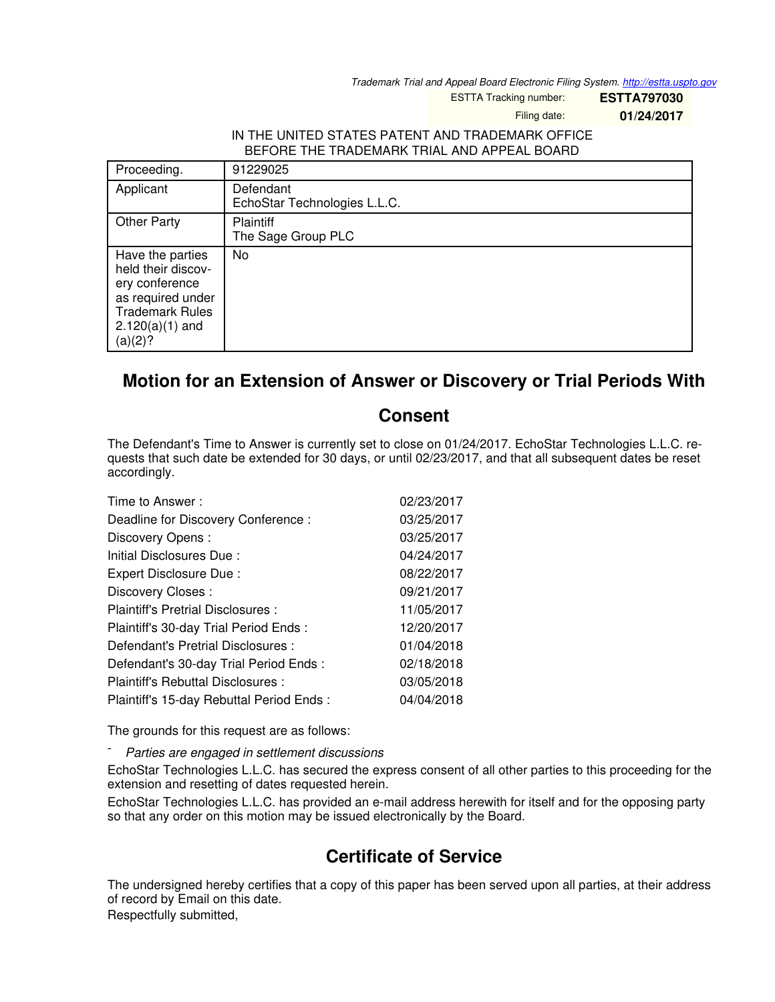*Trademark Trial and Appeal Board Electronic Filing System. <http://estta.uspto.gov>*

ESTTA Tracking number: **ESTTA797030**

Filing date: **01/24/2017**

## IN THE UNITED STATES PATENT AND TRADEMARK OFFICE BEFORE THE TRADEMARK TRIAL AND APPEAL BOARD

| Proceeding.                                                                                                                             | 91229025                                  |
|-----------------------------------------------------------------------------------------------------------------------------------------|-------------------------------------------|
| Applicant                                                                                                                               | Defendant<br>EchoStar Technologies L.L.C. |
| <b>Other Party</b>                                                                                                                      | Plaintiff<br>The Sage Group PLC           |
| Have the parties<br>held their discov-<br>ery conference<br>as required under<br><b>Trademark Rules</b><br>$2.120(a)(1)$ and<br>(a)(2)? | No                                        |

## **Motion for an Extension of Answer or Discovery or Trial Periods With**

## **Consent**

The Defendant's Time to Answer is currently set to close on 01/24/2017. EchoStar Technologies L.L.C. requests that such date be extended for 30 days, or until 02/23/2017, and that all subsequent dates be reset accordingly.

| Time to Answer:                          | 02/23/2017 |
|------------------------------------------|------------|
| Deadline for Discovery Conference:       | 03/25/2017 |
| Discovery Opens:                         | 03/25/2017 |
| Initial Disclosures Due:                 | 04/24/2017 |
| Expert Disclosure Due:                   | 08/22/2017 |
| Discovery Closes:                        | 09/21/2017 |
| Plaintiff's Pretrial Disclosures :       | 11/05/2017 |
| Plaintiff's 30-day Trial Period Ends:    | 12/20/2017 |
| Defendant's Pretrial Disclosures :       | 01/04/2018 |
| Defendant's 30-day Trial Period Ends :   | 02/18/2018 |
| Plaintiff's Rebuttal Disclosures:        | 03/05/2018 |
| Plaintiff's 15-day Rebuttal Period Ends: | 04/04/2018 |

The grounds for this request are as follows:

- *Parties are engaged in settlement discussions*

EchoStar Technologies L.L.C. has secured the express consent of all other parties to this proceeding for the extension and resetting of dates requested herein.

EchoStar Technologies L.L.C. has provided an e-mail address herewith for itself and for the opposing party so that any order on this motion may be issued electronically by the Board.

## **Certificate of Service**

The undersigned hereby certifies that a copy of this paper has been served upon all parties, at their address of record by Email on this date.

Respectfully submitted,